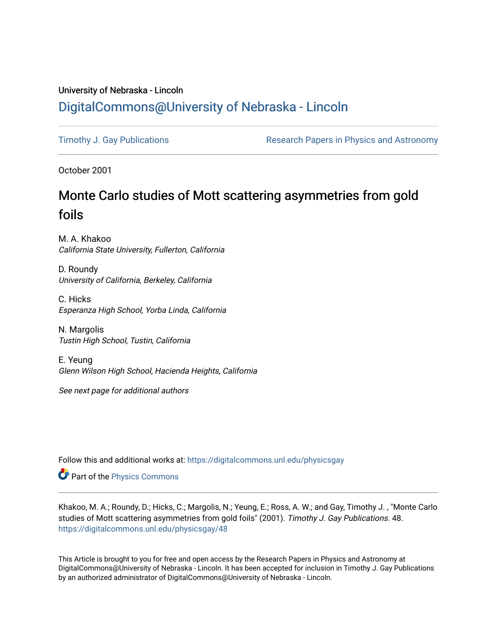# University of Nebraska - Lincoln [DigitalCommons@University of Nebraska - Lincoln](https://digitalcommons.unl.edu/)

[Timothy J. Gay Publications](https://digitalcommons.unl.edu/physicsgay) **Research Papers in Physics and Astronomy** 

October 2001

# Monte Carlo studies of Mott scattering asymmetries from gold foils

M. A. Khakoo California State University, Fullerton, California

D. Roundy University of California, Berkeley, California

C. Hicks Esperanza High School, Yorba Linda, California

N. Margolis Tustin High School, Tustin, California

E. Yeung Glenn Wilson High School, Hacienda Heights, California

See next page for additional authors

Follow this and additional works at: [https://digitalcommons.unl.edu/physicsgay](https://digitalcommons.unl.edu/physicsgay?utm_source=digitalcommons.unl.edu%2Fphysicsgay%2F48&utm_medium=PDF&utm_campaign=PDFCoverPages)

Part of the [Physics Commons](http://network.bepress.com/hgg/discipline/193?utm_source=digitalcommons.unl.edu%2Fphysicsgay%2F48&utm_medium=PDF&utm_campaign=PDFCoverPages)

Khakoo, M. A.; Roundy, D.; Hicks, C.; Margolis, N.; Yeung, E.; Ross, A. W.; and Gay, Timothy J. , "Monte Carlo studies of Mott scattering asymmetries from gold foils" (2001). Timothy J. Gay Publications. 48. [https://digitalcommons.unl.edu/physicsgay/48](https://digitalcommons.unl.edu/physicsgay/48?utm_source=digitalcommons.unl.edu%2Fphysicsgay%2F48&utm_medium=PDF&utm_campaign=PDFCoverPages) 

This Article is brought to you for free and open access by the Research Papers in Physics and Astronomy at DigitalCommons@University of Nebraska - Lincoln. It has been accepted for inclusion in Timothy J. Gay Publications by an authorized administrator of DigitalCommons@University of Nebraska - Lincoln.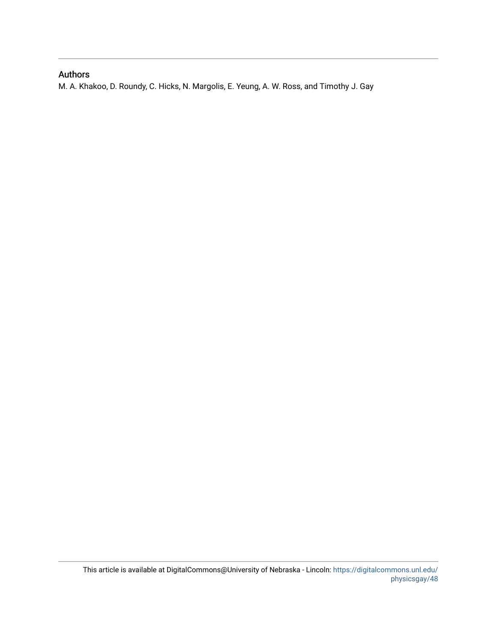# Authors

M. A. Khakoo, D. Roundy, C. Hicks, N. Margolis, E. Yeung, A. W. Ross, and Timothy J. Gay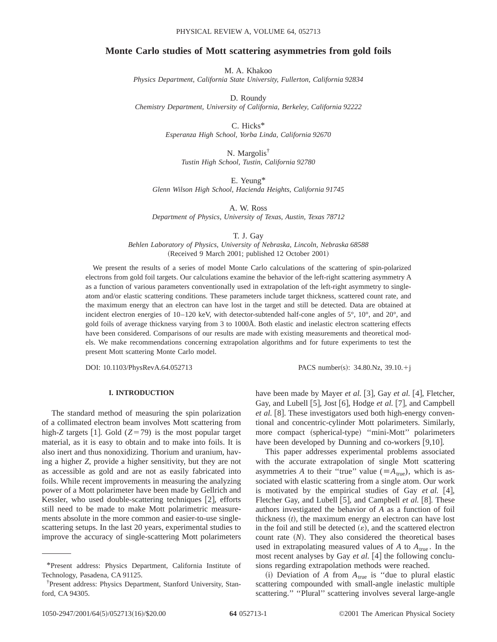# **Monte Carlo studies of Mott scattering asymmetries from gold foils**

M. A. Khakoo

*Physics Department, California State University, Fullerton, California 92834*

D. Roundy

*Chemistry Department, University of California, Berkeley, California 92222*

C. Hicks\* *Esperanza High School, Yorba Linda, California 92670*

N. Margolis† *Tustin High School, Tustin, California 92780*

E. Yeung\*

*Glenn Wilson High School, Hacienda Heights, California 91745*

A. W. Ross

*Department of Physics, University of Texas, Austin, Texas 78712*

T. J. Gay

*Behlen Laboratory of Physics, University of Nebraska, Lincoln, Nebraska 68588* (Received 9 March 2001; published 12 October 2001)

We present the results of a series of model Monte Carlo calculations of the scattering of spin-polarized electrons from gold foil targets. Our calculations examine the behavior of the left-right scattering asymmetry A as a function of various parameters conventionally used in extrapolation of the left-right asymmetry to singleatom and/or elastic scattering conditions. These parameters include target thickness, scattered count rate, and the maximum energy that an electron can have lost in the target and still be detected. Data are obtained at incident electron energies of 10–120 keV, with detector-subtended half-cone angles of 5°, 10°, and 20°, and gold foils of average thickness varying from 3 to 1000Å. Both elastic and inelastic electron scattering effects have been considered. Comparisons of our results are made with existing measurements and theoretical models. We make recommendations concerning extrapolation algorithms and for future experiments to test the present Mott scattering Monte Carlo model.

DOI: 10.1103/PhysRevA.64.052713 PACS number(s): 34.80.Nz, 39.10.<sup>1</sup>j

# **I. INTRODUCTION**

The standard method of measuring the spin polarization of a collimated electron beam involves Mott scattering from high-*Z* targets [1]. Gold  $(Z=79)$  is the most popular target material, as it is easy to obtain and to make into foils. It is also inert and thus nonoxidizing. Thorium and uranium, having a higher *Z*, provide a higher sensitivity, but they are not as accessible as gold and are not as easily fabricated into foils. While recent improvements in measuring the analyzing power of a Mott polarimeter have been made by Gellrich and Kessler, who used double-scattering techniques  $[2]$ , efforts still need to be made to make Mott polarimetric measurements absolute in the more common and easier-to-use singlescattering setups. In the last 20 years, experimental studies to improve the accuracy of single-scattering Mott polarimeters

have been made by Mayer *et al.* [3], Gay *et al.* [4], Fletcher, Gay, and Lubell [5], Jost [6], Hodge *et al.* [7], and Campbell *et al.* [8]. These investigators used both high-energy conventional and concentric-cylinder Mott polarimeters. Similarly, more compact (spherical-type) "mini-Mott" polarimeters have been developed by Dunning and co-workers  $[9,10]$ .

This paper addresses experimental problems associated with the accurate extrapolation of single Mott scattering asymmetries *A* to their "true" value ( $\equiv A_{true}$ ), which is associated with elastic scattering from a single atom. Our work is motivated by the empirical studies of Gay et al. [4], Fletcher Gay, and Lubell [5], and Campbell *et al.* [8]. These authors investigated the behavior of *A* as a function of foil thickness  $(t)$ , the maximum energy an electron can have lost in the foil and still be detected  $(\varepsilon)$ , and the scattered electron count rate  $(N)$ . They also considered the theoretical bases used in extrapolating measured values of  $A$  to  $A_{true}$ . In the most recent analyses by Gay *et al.* [4] the following conclusions regarding extrapolation methods were reached.

(i) Deviation of *A* from  $A_{true}$  is "due to plural elastic scattering compounded with small-angle inelastic multiple scattering." "Plural" scattering involves several large-angle

<sup>\*</sup>Present address: Physics Department, California Institute of Technology, Pasadena, CA 91125.

<sup>†</sup> Present address: Physics Department, Stanford University, Stanford, CA 94305.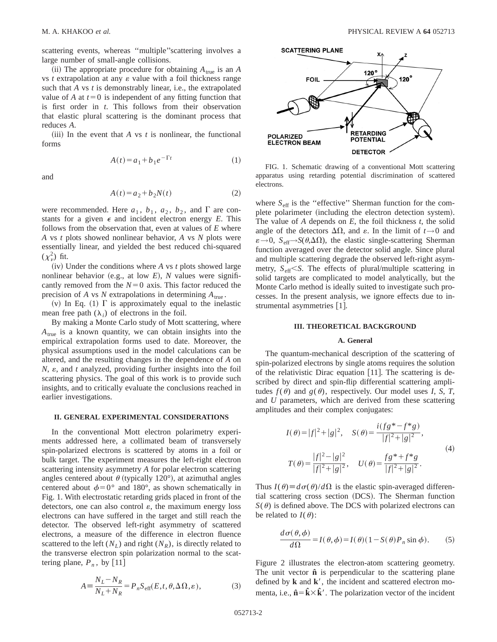scattering events, whereas "multiple" scattering involves a large number of small-angle collisions.

(ii) The appropriate procedure for obtaining  $A_{true}$  is an  $A$ vs  $t$  extrapolation at any  $\varepsilon$  value with a foil thickness range such that *A* vs *t* is demonstrably linear, i.e., the extrapolated value of *A* at  $t=0$  is independent of any fitting function that is first order in *t*. This follows from their observation that elastic plural scattering is the dominant process that reduces *A*.

 $(iii)$  In the event that *A* vs *t* is nonlinear, the functional forms

$$
A(t) = a_1 + b_1 e^{-\Gamma t}
$$
 (1)

and

$$
A(t) = a_2 + b_2 N(t)
$$
 (2)

were recommended. Here  $a_1$ ,  $b_1$ ,  $a_2$ ,  $b_2$ , and  $\Gamma$  are constants for a given  $\epsilon$  and incident electron energy *E*. This follows from the observation that, even at values of *E* where *A* vs *t* plots showed nonlinear behavior, *A* vs *N* plots were essentially linear, and yielded the best reduced chi-squared  $(\chi^2_{\nu})$  fit.

 $(iv)$  Under the conditions where *A* vs *t* plots showed large nonlinear behavior (e.g., at low  $E$ ),  $N$  values were significantly removed from the  $N=0$  axis. This factor reduced the precision of *A* vs *N* extrapolations in determining  $A_{true}$ .

(v) In Eq. (1)  $\Gamma$  is approximately equal to the inelastic mean free path  $(\lambda_i)$  of electrons in the foil.

By making a Monte Carlo study of Mott scattering, where *A*true is a known quantity, we can obtain insights into the empirical extrapolation forms used to date. Moreover, the physical assumptions used in the model calculations can be altered, and the resulting changes in the dependence of *A* on  $N$ ,  $\varepsilon$ , and  $t$  analyzed, providing further insights into the foil scattering physics. The goal of this work is to provide such insights, and to critically evaluate the conclusions reached in earlier investigations.

#### **II. GENERAL EXPERIMENTAL CONSIDERATIONS**

In the conventional Mott electron polarimetry experiments addressed here, a collimated beam of transversely spin-polarized electrons is scattered by atoms in a foil or bulk target. The experiment measures the left-right electron scattering intensity asymmetry *A* for polar electron scattering angles centered about  $\theta$  (typically 120°), at azimuthal angles centered about  $\phi=0^{\circ}$  and 180°, as shown schematically in Fig. 1. With electrostatic retarding grids placed in front of the detectors, one can also control  $\varepsilon$ , the maximum energy loss electrons can have suffered in the target and still reach the detector. The observed left-right asymmetry of scattered electrons, a measure of the difference in electron fluence scattered to the left  $(N_L)$  and right  $(N_R)$ , is directly related to the transverse electron spin polarization normal to the scattering plane,  $P_n$ , by [11]

$$
A = \frac{N_L - N_R}{N_L + N_R} = P_n S_{\text{eff}}(E, t, \theta, \Delta\Omega, \varepsilon),
$$
 (3)



FIG. 1. Schematic drawing of a conventional Mott scattering apparatus using retarding potential discrimination of scattered electrons.

where  $S_{\text{eff}}$  is the "effective" Sherman function for the complete polarimeter (including the electron detection system). The value of *A* depends on *E*, the foil thickness *t*, the solid angle of the detectors  $\Delta\Omega$ , and  $\varepsilon$ . In the limit of  $t\rightarrow 0$  and  $\varepsilon \rightarrow 0$ ,  $S_{\text{eff}} \rightarrow S(\theta, \Delta\Omega)$ , the elastic single-scattering Sherman function averaged over the detector solid angle. Since plural and multiple scattering degrade the observed left-right asymmetry,  $S_{\text{eff}} < S$ . The effects of plural/multiple scattering in solid targets are complicated to model analytically, but the Monte Carlo method is ideally suited to investigate such processes. In the present analysis, we ignore effects due to instrumental asymmetries [1].

### **III. THEORETICAL BACKGROUND**

#### **A. General**

The quantum-mechanical description of the scattering of spin-polarized electrons by single atoms requires the solution of the relativistic Dirac equation  $[11]$ . The scattering is described by direct and spin-flip differential scattering amplitudes  $f(\theta)$  and  $g(\theta)$ , respectively. Our model uses *I*, *S*, *T*, and *U* parameters, which are derived from these scattering amplitudes and their complex conjugates:

$$
I(\theta) = |f|^2 + |g|^2, \quad S(\theta) = \frac{i(fg^* - f^*g)}{|f|^2 + |g|^2},
$$
  
\n
$$
T(\theta) = \frac{|f|^2 - |g|^2}{|f|^2 + |g|^2}, \quad U(\theta) = \frac{fg^* + f^*g}{|f|^2 + |g|^2}.
$$
\n(4)

Thus  $I(\theta) \equiv d\sigma(\theta)/d\Omega$  is the elastic spin-averaged differential scattering cross section (DCS). The Sherman function  $S(\theta)$  is defined above. The DCS with polarized electrons can be related to  $I(\theta)$ :

$$
\frac{d\sigma(\theta,\phi)}{d\Omega} = I(\theta,\phi) = I(\theta)(1 - S(\theta)P_n \sin \phi).
$$
 (5)

Figure 2 illustrates the electron-atom scattering geometry. The unit vector  $\hat{\bf{n}}$  is perpendicular to the scattering plane defined by  $\bf{k}$  and  $\bf{k}'$ , the incident and scattered electron momenta, i.e.,  $\hat{\mathbf{n}} = \hat{\mathbf{k}} \times \hat{\mathbf{k}}'$ . The polarization vector of the incident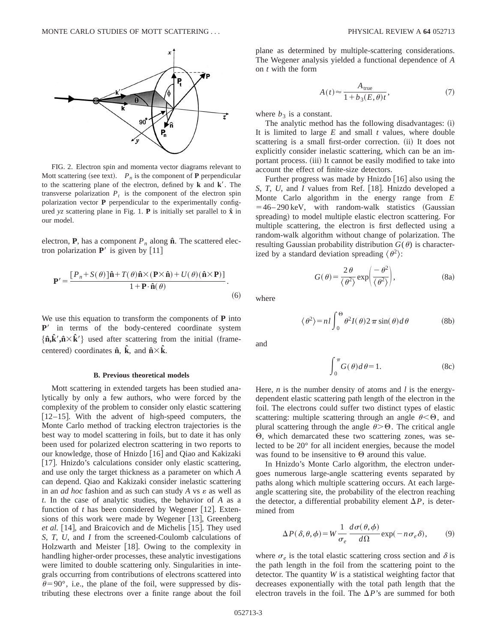

FIG. 2. Electron spin and momenta vector diagrams relevant to Mott scattering (see text).  $P_n$  is the component of **P** perpendicular to the scattering plane of the electron, defined by **k** and **k**<sup>'</sup>. The transverse polarization  $P_t$  is the component of the electron spin polarization vector **P** perpendicular to the experimentally configured *yz* scattering plane in Fig. 1. **P** is initially set parallel to  $\hat{x}$  in our model.

electron, **P**, has a component  $P_n$  along  $\hat{\mathbf{n}}$ . The scattered electron polarization  $P'$  is given by  $[11]$ 

$$
\mathbf{P}' = \frac{[P_n + S(\theta)]\hat{\mathbf{n}} + T(\theta)\hat{\mathbf{n}} \times (\mathbf{P} \times \hat{\mathbf{n}}) + U(\theta)(\hat{\mathbf{n}} \times \mathbf{P})]}{1 + \mathbf{P} \cdot \hat{\mathbf{n}}(\theta)}.
$$
\n(6)

We use this equation to transform the components of **P** into P<sup>'</sup> in terms of the body-centered coordinate system  $\{\hat{\mathbf{n}}, \hat{\mathbf{k}}', \hat{\mathbf{n}} \times \hat{\mathbf{k}}'\}$  used after scattering from the initial (framecentered) coordinates  $\hat{\mathbf{n}}$ ,  $\hat{\mathbf{k}}$ , and  $\hat{\mathbf{n}} \times \hat{\mathbf{k}}$ .

### **B. Previous theoretical models**

Mott scattering in extended targets has been studied analytically by only a few authors, who were forced by the complexity of the problem to consider only elastic scattering  $[12–15]$ . With the advent of high-speed computers, the Monte Carlo method of tracking electron trajectories is the best way to model scattering in foils, but to date it has only been used for polarized electron scattering in two reports to our knowledge, those of Hnizdo [16] and Qiao and Kakizaki [17]. Hnizdo's calculations consider only elastic scattering, and use only the target thickness as a parameter on which *A* can depend. Qiao and Kakizaki consider inelastic scattering in an  $ad$  hoc fashion and as such can study  $A$  vs  $\varepsilon$  as well as *t*. In the case of analytic studies, the behavior of *A* as a function of  $t$  has been considered by Wegener [12]. Extensions of this work were made by Wegener  $[13]$ , Greenberg *et al.* [14], and Braicovich and de Michelis [15]. They used *S*, *T*, *U*, and *I* from the screened-Coulomb calculations of Holzwarth and Meister  $[18]$ . Owing to the complexity in handling higher-order processes, these analytic investigations were limited to double scattering only. Singularities in integrals occurring from contributions of electrons scattered into  $\theta$ =90°, i.e., the plane of the foil, were suppressed by distributing these electrons over a finite range about the foil plane as determined by multiple-scattering considerations. The Wegener analysis yielded a functional dependence of *A* on *t* with the form

$$
A(t) \approx \frac{A_{\text{true}}}{1 + b_3(E, \theta)t},\tag{7}
$$

where  $b_3$  is a constant.

The analytic method has the following disadvantages:  $(i)$ It is limited to large *E* and small *t* values, where double scattering is a small first-order correction. (ii) It does not explicitly consider inelastic scattering, which can be an important process. (iii) It cannot be easily modified to take into account the effect of finite-size detectors.

Further progress was made by Hnizdo  $[16]$  also using the *S*, *T*, *U*, and *I* values from Ref. [18]. Hnizdo developed a Monte Carlo algorithm in the energy range from *E*  $=46-290 \,\text{keV}$ , with random-walk statistics (Gaussian spreading) to model multiple elastic electron scattering. For multiple scattering, the electron is first deflected using a random-walk algorithm without change of polarization. The resulting Gaussian probability distribution  $G(\theta)$  is characterized by a standard deviation spreading  $\langle \theta^2 \rangle$ :

$$
G(\theta) = \frac{2\theta}{\langle \theta^2 \rangle} \exp\left(\frac{-\theta^2}{\langle \theta^2 \rangle}\right),
$$
 (8a)

where

 $\langle \theta^2 \rangle = n l \int_0^l$  $\stackrel{\Theta}{\theta}$ <sup>2</sup>*I*( $\theta$ )2 $\pi$  sin( $\theta$ )*d* $\theta$  (8b)

and

$$
\int_0^{\pi} G(\theta) d\theta = 1.
$$
 (8c)

Here, *n* is the number density of atoms and *l* is the energydependent elastic scattering path length of the electron in the foil. The electrons could suffer two distinct types of elastic scattering: multiple scattering through an angle  $\theta < \theta$ , and plural scattering through the angle  $\theta > \Theta$ . The critical angle  $\Theta$ , which demarcated these two scattering zones, was selected to be 20° for all incident energies, because the model was found to be insensitive to  $\Theta$  around this value.

In Hnizdo's Monte Carlo algorithm, the electron undergoes numerous large-angle scattering events separated by paths along which multiple scattering occurs. At each largeangle scattering site, the probability of the electron reaching the detector, a differential probability element  $\Delta P$ , is determined from

$$
\Delta P(\delta, \theta, \phi) = W \frac{1}{\sigma_e} \frac{d\sigma(\theta, \phi)}{d\Omega} \exp(-n \sigma_e \delta), \qquad (9)
$$

where  $\sigma_e$  is the total elastic scattering cross section and  $\delta$  is the path length in the foil from the scattering point to the detector. The quantity *W* is a statistical weighting factor that decreases exponentially with the total path length that the electron travels in the foil. The  $\Delta P$ 's are summed for both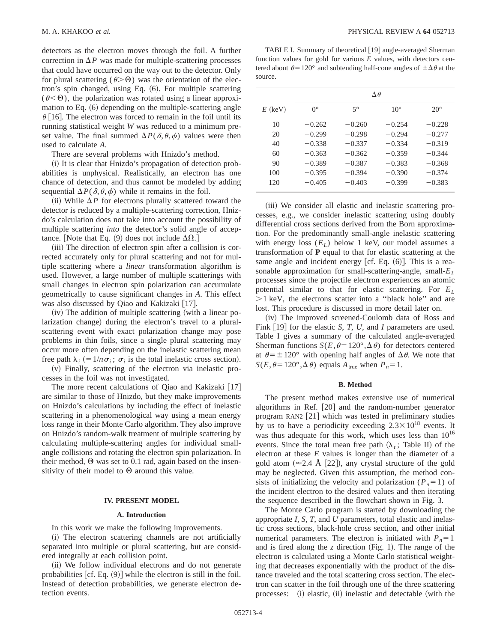detectors as the electron moves through the foil. A further correction in  $\Delta P$  was made for multiple-scattering processes that could have occurred on the way out to the detector. Only for plural scattering ( $\theta > \Theta$ ) was the orientation of the electron's spin changed, using Eq. (6). For multiple scattering  $(\theta \leq \Theta)$ , the polarization was rotated using a linear approximation to Eq.  $(6)$  depending on the multiple-scattering angle  $\theta$ |16|. The electron was forced to remain in the foil until its running statistical weight *W* was reduced to a minimum preset value. The final summed  $\Delta P(\delta,\theta,\phi)$  values were then used to calculate *A*.

There are several problems with Hnizdo's method.

 $(i)$  It is clear that Hnizdo's propagation of detection probabilities is unphysical. Realistically, an electron has one chance of detection, and thus cannot be modeled by adding sequential  $\Delta P(\delta, \theta, \phi)$  while it remains in the foil.

(ii) While  $\Delta P$  for electrons plurally scattered toward the detector is reduced by a multiple-scattering correction, Hnizdo's calculation does not take into account the possibility of multiple scattering *into* the detector's solid angle of acceptance. [Note that Eq. (9) does not include  $\Delta\Omega$ .]

(iii) The direction of electron spin after a collision is corrected accurately only for plural scattering and not for multiple scattering where a *linear* transformation algorithm is used. However, a large number of multiple scatterings with small changes in electron spin polarization can accumulate geometrically to cause significant changes in *A*. This effect was also discussed by Qiao and Kakizaki  $[17]$ .

 $(iv)$  The addition of multiple scattering (with a linear polarization change) during the electron's travel to a pluralscattering event with exact polarization change may pose problems in thin foils, since a single plural scattering may occur more often depending on the inelastic scattering mean free path  $\lambda_i$  (=  $1/n\sigma_i$ ;  $\sigma_i$  is the total inelastic cross section).

 $(v)$  Finally, scattering of the electron via inelastic processes in the foil was not investigated.

The more recent calculations of Oiao and Kakizaki  $[17]$ are similar to those of Hnizdo, but they make improvements on Hnizdo's calculations by including the effect of inelastic scattering in a phenomenological way using a mean energy loss range in their Monte Carlo algorithm. They also improve on Hnizdo's random-walk treatment of multiple scattering by calculating multiple-scattering angles for individual smallangle collisions and rotating the electron spin polarization. In their method,  $\Theta$  was set to 0.1 rad, again based on the insensitivity of their model to  $\Theta$  around this value.

#### **IV. PRESENT MODEL**

#### **A. Introduction**

In this work we make the following improvements.

(i) The electron scattering channels are not artificially separated into multiple or plural scattering, but are considered integrally at each collision point.

(ii) We follow individual electrons and do not generate probabilities  $[cf. Eq. (9)]$  while the electron is still in the foil. Instead of detection probabilities, we generate electron detection events.

TABLE I. Summary of theoretical [19] angle-averaged Sherman function values for gold for various *E* values, with detectors centered about  $\theta$ = 120° and subtending half-cone angles of  $\pm \Delta \theta$  at the source.

|           | $\Delta \theta$  |             |              |              |  |  |  |  |  |  |
|-----------|------------------|-------------|--------------|--------------|--|--|--|--|--|--|
| $E$ (keV) | $\Omega^{\circ}$ | $5^{\circ}$ | $10^{\circ}$ | $20^{\circ}$ |  |  |  |  |  |  |
| 10        | $-0.262$         | $-0.260$    | $-0.254$     | $-0.228$     |  |  |  |  |  |  |
| 20        | $-0.299$         | $-0.298$    | $-0.294$     | $-0.277$     |  |  |  |  |  |  |
| 40        | $-0.338$         | $-0.337$    | $-0.334$     | $-0.319$     |  |  |  |  |  |  |
| 60        | $-0.363$         | $-0.362$    | $-0.359$     | $-0.344$     |  |  |  |  |  |  |
| 90        | $-0.389$         | $-0.387$    | $-0.383$     | $-0.368$     |  |  |  |  |  |  |
| 100       | $-0.395$         | $-0.394$    | $-0.390$     | $-0.374$     |  |  |  |  |  |  |
| 120       | $-0.405$         | $-0.403$    | $-0.399$     | $-0.383$     |  |  |  |  |  |  |

(iii) We consider all elastic and inelastic scattering processes, e.g., we consider inelastic scattering using doubly differential cross sections derived from the Born approximation. For the predominantly small-angle inelastic scattering with energy loss  $(E_L)$  below 1 keV, our model assumes a transformation of **P** equal to that for elastic scattering at the same angle and incident energy [cf. Eq.  $(6)$ ]. This is a reasonable approximation for small-scattering-angle, small-*EL* processes since the projectile electron experiences an atomic potential similar to that for elastic scattering. For *EL*  $>1$  keV, the electrons scatter into a "black hole" and are lost. This procedure is discussed in more detail later on.

(iv) The improved screened-Coulomb data of Ross and Fink  $\lceil 19 \rceil$  for the elastic *S*, *T*, *U*, and *I* parameters are used. Table I gives a summary of the calculated angle-averaged Sherman functions  $S(E, \theta=120^{\circ}, \Delta \theta)$  for detectors centered at  $\theta = \pm 120^{\circ}$  with opening half angles of  $\Delta \theta$ . We note that  $S(E, \theta=120^{\circ}, \Delta \theta)$  equals  $A_{true}$  when  $P_n=1$ .

#### **B. Method**

The present method makes extensive use of numerical algorithms in Ref.  $[20]$  and the random-number generator program RAN2  $[21]$  which was tested in preliminary studies by us to have a periodicity exceeding  $2.3 \times 10^{18}$  events. It was thus adequate for this work, which uses less than  $10^{16}$ events. Since the total mean free path  $(\lambda_t)$ ; Table II) of the electron at these *E* values is longer than the diameter of a gold atom ( $\approx$ 2.4 Å [22]), any crystal structure of the gold may be neglected. Given this assumption, the method consists of initializing the velocity and polarization  $(P_n=1)$  of the incident electron to the desired values and then iterating the sequence described in the flowchart shown in Fig. 3.

The Monte Carlo program is started by downloading the appropriate *I*, *S*, *T*, and *U* parameters, total elastic and inelastic cross sections, black-hole cross section, and other initial numerical parameters. The electron is initiated with  $P_n = 1$ and is fired along the  $z$  direction (Fig. 1). The range of the electron is calculated using a Monte Carlo statistical weighting that decreases exponentially with the product of the distance traveled and the total scattering cross section. The electron can scatter in the foil through one of the three scattering processes: (i) elastic, (ii) inelastic and detectable (with the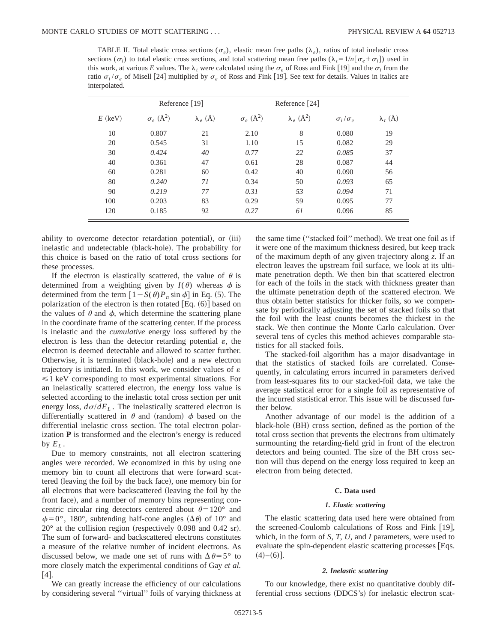TABLE II. Total elastic cross sections ( $\sigma_e$ ), elastic mean free paths ( $\lambda_e$ ), ratios of total inelastic cross sections ( $\sigma_i$ ) to total elastic cross sections, and total scattering mean free paths ( $\lambda_i = 1/n[\sigma_{\alpha} + \sigma_i]$ ) used in this work, at various *E* values. The  $\lambda$ , were calculated using the  $\sigma$ <sub>e</sub> of Ross and Fink [19] and the  $\sigma$ <sub>i</sub> from the ratio  $\sigma_i/\sigma_e$  of Misell [24] multiplied by  $\sigma_e$  of Ross and Fink [19]. See text for details. Values in italics are interpolated.

|           | Reference $[19]$       |                 |                              | Reference $[24]$        |                     |                  |  |  |
|-----------|------------------------|-----------------|------------------------------|-------------------------|---------------------|------------------|--|--|
| $E$ (keV) | $\sigma_e$ ( $\AA^2$ ) | $\lambda_e$ (Å) | $\sigma_e$ (Å <sup>2</sup> ) | $\lambda_e$ ( $\AA^2$ ) | $\sigma_i/\sigma_o$ | $\lambda_t(\AA)$ |  |  |
| 10        | 0.807                  | 21              | 2.10                         | 8                       | 0.080               | 19               |  |  |
| 20        | 0.545                  | 31              | 1.10                         | 15                      | 0.082               | 29               |  |  |
| 30        | 0.424                  | 40              | 0.77                         | 22                      | 0.085               | 37               |  |  |
| 40        | 0.361                  | 47              | 0.61                         | 28                      | 0.087               | 44               |  |  |
| 60        | 0.281                  | 60              | 0.42                         | 40                      | 0.090               | 56               |  |  |
| 80        | 0.240                  | 71              | 0.34                         | 50                      | 0.093               | 65               |  |  |
| 90        | 0.219                  | 77              | 0.31                         | 53                      | 0.094               | 71               |  |  |
| 100       | 0.203                  | 83              | 0.29                         | 59                      | 0.095               | 77               |  |  |
| 120       | 0.185                  | 92              | 0.27                         | 61                      | 0.096               | 85               |  |  |

ability to overcome detector retardation potential), or  $(iii)$ inelastic and undetectable (black-hole). The probability for this choice is based on the ratio of total cross sections for these processes.

If the electron is elastically scattered, the value of  $\theta$  is determined from a weighting given by  $I(\theta)$  whereas  $\phi$  is determined from the term  $[1-S(\theta)P_n \sin \phi]$  in Eq. (5). The polarization of the electron is then rotated  $[Eq. (6)]$  based on the values of  $\theta$  and  $\phi$ , which determine the scattering plane in the coordinate frame of the scattering center. If the process is inelastic and the *cumulative* energy loss suffered by the electron is less than the detector retarding potential  $\varepsilon$ , the electron is deemed detectable and allowed to scatter further. Otherwise, it is terminated (black-hole) and a new electron trajectory is initiated. In this work, we consider values of  $\varepsilon$  $\leq 1$  keV corresponding to most experimental situations. For an inelastically scattered electron, the energy loss value is selected according to the inelastic total cross section per unit energy loss,  $d\sigma/dE_L$ . The inelastically scattered electron is differentially scattered in  $\theta$  and (random)  $\phi$  based on the differential inelastic cross section. The total electron polarization **P** is transformed and the electron's energy is reduced by  $E_L$ .

Due to memory constraints, not all electron scattering angles were recorded. We economized in this by using one memory bin to count all electrons that were forward scattered (leaving the foil by the back face), one memory bin for all electrons that were backscattered (leaving the foil by the front face), and a number of memory bins representing concentric circular ring detectors centered about  $\theta$ =120° and  $\phi=0^{\degree}$ , 180°, subtending half-cone angles  $(\Delta \theta)$  of 10° and  $20^{\circ}$  at the collision region (respectively 0.098 and 0.42 sr). The sum of forward- and backscattered electrons constitutes a measure of the relative number of incident electrons. As discussed below, we made one set of runs with  $\Delta\theta=5^{\circ}$  to more closely match the experimental conditions of Gay *et al.*  $|4|$ .

We can greatly increase the efficiency of our calculations by considering several ''virtual'' foils of varying thickness at the same time ("stacked foil" method). We treat one foil as if it were one of the maximum thickness desired, but keep track of the maximum depth of any given trajectory along *z*. If an electron leaves the upstream foil surface, we look at its ultimate penetration depth. We then bin that scattered electron for each of the foils in the stack with thickness greater than the ultimate penetration depth of the scattered electron. We thus obtain better statistics for thicker foils, so we compensate by periodically adjusting the set of stacked foils so that the foil with the least counts becomes the thickest in the stack. We then continue the Monte Carlo calculation. Over several tens of cycles this method achieves comparable statistics for all stacked foils.

The stacked-foil algorithm has a major disadvantage in that the statistics of stacked foils are correlated. Consequently, in calculating errors incurred in parameters derived from least-squares fits to our stacked-foil data, we take the average statistical error for a single foil as representative of the incurred statistical error. This issue will be discussed further below.

Another advantage of our model is the addition of a  $black-hole$   $(BH)$  cross section, defined as the portion of the total cross section that prevents the electrons from ultimately surmounting the retarding-field grid in front of the electron detectors and being counted. The size of the BH cross section will thus depend on the energy loss required to keep an electron from being detected.

#### **C. Data used**

#### *1. Elastic scattering*

The elastic scattering data used here were obtained from the screened-Coulomb calculations of Ross and Fink  $[19]$ , which, in the form of *S*, *T*, *U*, and *I* parameters, were used to evaluate the spin-dependent elastic scattering processes [Eqs.  $(4)–(6)$ ].

#### *2. Inelastic scattering*

To our knowledge, there exist no quantitative doubly differential cross sections (DDCS's) for inelastic electron scat-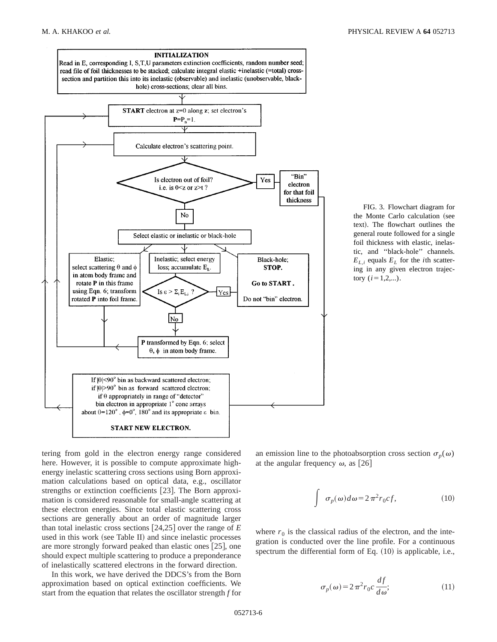



tering from gold in the electron energy range considered here. However, it is possible to compute approximate highenergy inelastic scattering cross sections using Born approximation calculations based on optical data, e.g., oscillator strengths or extinction coefficients [23]. The Born approximation is considered reasonable for small-angle scattering at these electron energies. Since total elastic scattering cross sections are generally about an order of magnitude larger than total inelastic cross sections  $|24,25|$  over the range of *E* used in this work (see Table II) and since inelastic processes are more strongly forward peaked than elastic ones  $[25]$ , one should expect multiple scattering to produce a preponderance of inelastically scattered electrons in the forward direction.

In this work, we have derived the DDCS's from the Born approximation based on optical extinction coefficients. We start from the equation that relates the oscillator strength *f* for an emission line to the photoabsorption cross section  $\sigma_p(\omega)$ at the angular frequency  $\omega$ , as [26]

$$
\int \sigma_p(\omega)d\omega = 2\pi^2 r_0 c f,\tag{10}
$$

where  $r_0$  is the classical radius of the electron, and the integration is conducted over the line profile. For a continuous spectrum the differential form of Eq.  $(10)$  is applicable, i.e.,

$$
\sigma_p(\omega) = 2\pi^2 r_0 c \frac{df}{d\omega};\tag{11}
$$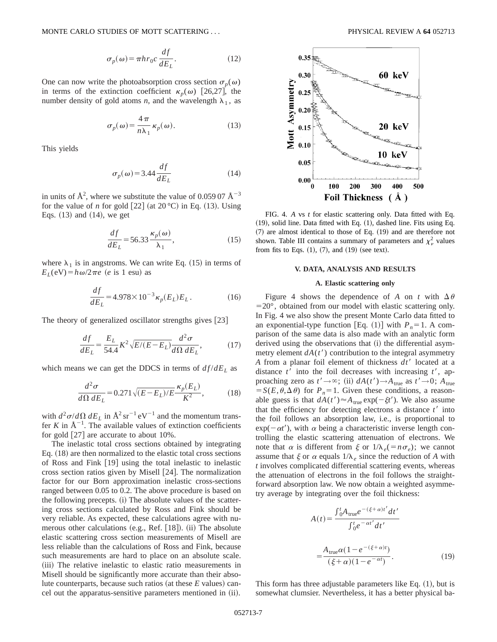$$
\sigma_p(\omega) = \pi h r_0 c \frac{df}{dE_L}.\tag{12}
$$

One can now write the photoabsorption cross section  $\sigma_n(\omega)$ in terms of the extinction coefficient  $\kappa_p(\omega)$  [26,27], the number density of gold atoms *n*, and the wavelength  $\lambda_1$ , as

$$
\sigma_p(\omega) = \frac{4\,\pi}{n\,\lambda_1} \,\kappa_p(\omega). \tag{13}
$$

This yields

$$
\sigma_p(\omega) = 3.44 \frac{df}{dE_L} \tag{14}
$$

in units of  $\AA^2$ , where we substitute the value of 0.059 07  $\AA^{-3}$ for the value of *n* for gold  $[22]$  (at 20 °C) in Eq. (13). Using Eqs.  $(13)$  and  $(14)$ , we get

$$
\frac{df}{dE_L} = 56.33 \frac{\kappa_p(\omega)}{\lambda_1},\tag{15}
$$

where  $\lambda_1$  is in angstroms. We can write Eq. (15) in terms of  $E_L$ (eV) =  $h\omega/2\pi e$  (*e* is 1 esu) as

$$
\frac{df}{dE_L} = 4.978 \times 10^{-3} \kappa_p(E_L) E_L.
$$
 (16)

The theory of generalized oscillator strengths gives  $[23]$ 

$$
\frac{df}{dE_L} = \frac{E_L}{54.4} K^2 \sqrt{E/(E - E_L)} \frac{d^2 \sigma}{d\Omega dE_L},\tag{17}
$$

which means we can get the DDCS in terms of  $df/dE_L$  as

$$
\frac{d^2\sigma}{d\Omega dE_L} = 0.271\sqrt{(E - E_L)/E}\frac{\kappa_p(E_L)}{K^2},\tag{18}
$$

with  $d^2\sigma/d\Omega dE_L$  in  $\mathring{A}^2$  sr<sup>-1</sup> eV<sup>-1</sup> and the momentum transfer *K* in  $\mathring{A}^{-1}$ . The available values of extinction coefficients for gold  $[27]$  are accurate to about 10%.

The inelastic total cross sections obtained by integrating Eq.  $(18)$  are then normalized to the elastic total cross sections of Ross and Fink [19] using the total inelastic to inelastic cross section ratios given by Misell [24]. The normalization factor for our Born approximation inelastic cross-sections ranged between 0.05 to 0.2. The above procedure is based on  $\mu$  the following precepts. (i) The absolute values of the scattering cross sections calculated by Ross and Fink should be very reliable. As expected, these calculations agree with numerous other calculations  $(e.g., Ref. |18|)$ . (ii) The absolute elastic scattering cross section measurements of Misell are less reliable than the calculations of Ross and Fink, because such measurements are hard to place on an absolute scale. (iii) The relative inelastic to elastic ratio measurements in Misell should be significantly more accurate than their absolute counterparts, because such ratios (at these  $E$  values) cancel out the apparatus-sensitive parameters mentioned in (ii).



FIG. 4. *A* vs *t* for elastic scattering only. Data fitted with Eq.  $(19)$ , solid line. Data fitted with Eq.  $(1)$ , dashed line. Fits using Eq.  $(7)$  are almost identical to those of Eq.  $(19)$  and are therefore not shown. Table III contains a summary of parameters and  $\chi^2_{\nu}$  values from fits to Eqs.  $(1)$ ,  $(7)$ , and  $(19)$  (see text).

#### **V. DATA, ANALYSIS AND RESULTS**

#### **A. Elastic scattering only**

Figure 4 shows the dependence of *A* on *t* with  $\Delta \theta$  $=$  20 $^{\circ}$ , obtained from our model with elastic scattering only. In Fig. 4 we also show the present Monte Carlo data fitted to an exponential-type function [Eq. (1)] with  $P_n = 1$ . A comparison of the same data is also made with an analytic form derived using the observations that (i) the differential asymmetry element  $dA(t')$  contribution to the integral asymmetry *A* from a planar foil element of thickness  $dt'$  located at a distance  $t'$  into the foil decreases with increasing  $t'$ , approaching zero as  $t' \rightarrow \infty$ ; (ii)  $dA(t') \rightarrow A_{true}$  as  $t' \rightarrow 0$ ;  $A_{true}$  $S(E, \theta, \Delta \theta)$  for  $P_n = 1$ . Given these conditions, a reasonable guess is that  $dA(t') \approx A_{true} \exp(-\xi t')$ . We also assume that the efficiency for detecting electrons a distance  $t'$  into the foil follows an absorption law, i.e., is proportional to  $\exp(-\alpha t')$ , with  $\alpha$  being a characteristic inverse length controlling the elastic scattering attenuation of electrons. We note that  $\alpha$  is different from  $\xi$  or  $1/\lambda_e (= n\sigma_e)$ ; we cannot assume that  $\xi$  or  $\alpha$  equals  $1/\lambda_e$  since the reduction of A with *t* involves complicated differential scattering events, whereas the attenuation of electrons in the foil follows the straightforward absorption law. We now obtain a weighted asymmetry average by integrating over the foil thickness:

$$
A(t) = \frac{\int_{0}^{t} A_{\text{true}} e^{-(\xi + \alpha)t'} dt'}{\int_{0}^{t} e^{-\alpha t'} dt'}
$$

$$
= \frac{A_{\text{true}} \alpha (1 - e^{-(\xi + \alpha)t})}{(\xi + \alpha)(1 - e^{-\alpha t})}.
$$
(19)

This form has three adjustable parameters like Eq.  $(1)$ , but is somewhat clumsier. Nevertheless, it has a better physical ba-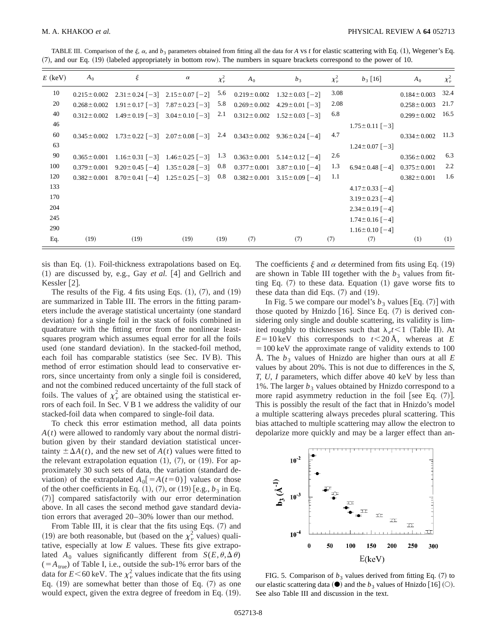TABLE III. Comparison of the  $\xi$ ,  $\alpha$ , and  $b_3$  parameters obtained from fitting all the data for *A* vs *t* for elastic scattering with Eq. (1), Wegener's Eq. (7), and our Eq. (19) (labeled appropriately in bottom row). The numbers in square brackets correspond to the power of 10.

| $E$ (keV) | $A_0$             | $\xi$                                                       | $\alpha$ | $\chi^2_{\nu}$ | $A_0$ | $b_3$                                  | $\chi^2_{\nu}$ | $b_3$ [16]           | $A_0$             | $\chi^2_{\nu}$ |
|-----------|-------------------|-------------------------------------------------------------|----------|----------------|-------|----------------------------------------|----------------|----------------------|-------------------|----------------|
| 10        | $0.215 \pm 0.002$ | $2.31 \pm 0.24$ [-3] $2.15 \pm 0.07$ [-2]                   |          | 5.6            |       | $0.219 \pm 0.002$ $1.32 \pm 0.03$ [-2] | 3.08           |                      | $0.184 \pm 0.003$ | 32.4           |
| 20        | $0.268 \pm 0.002$ | $1.91 \pm 0.17$ [-3] $7.87 \pm 0.23$ [-3]                   |          | 5.8            |       | $0.269 \pm 0.002$ 4.29 $\pm$ 0.01 [-3] | 2.08           |                      | $0.258 \pm 0.003$ | 21.7           |
| 40        | $0.312 \pm 0.002$ | $1.49 \pm 0.19$ [-3] $3.04 \pm 0.10$ [-3]                   |          | 2.1            |       | $0.312 \pm 0.002$ $1.52 \pm 0.03$ [-3] | 6.8            |                      | $0.299 \pm 0.002$ | 16.5           |
| 46        |                   |                                                             |          |                |       |                                        |                | $1.75 \pm 0.11$ [-3] |                   |                |
| 60        |                   | $0.345 \pm 0.002$ $1.73 \pm 0.22$ [-3] $2.07 \pm 0.08$ [-3] |          | 2.4            |       | $0.343 \pm 0.002$ $9.36 \pm 0.24$ [-4] | 4.7            |                      | $0.334 \pm 0.002$ | 11.3           |
| 63        |                   |                                                             |          |                |       |                                        |                | $1.24 \pm 0.07$ [-3] |                   |                |
| 90        | $0.365 \pm 0.001$ | $1.16 \pm 0.31$ [-3] $1.46 \pm 0.25$ [-3]                   |          | 1.3            |       | $0.363 \pm 0.001$ $5.14 \pm 0.12$ [-4] | 2.6            |                      | $0.356 \pm 0.002$ | 6.3            |
| 100       | $0.379 \pm 0.001$ | $9.20 \pm 0.45$ [-4] $1.35 \pm 0.28$ [-3]                   |          | $0.8\,$        |       | $0.377 \pm 0.001$ $3.87 \pm 0.10$ [-4] | 1.3            | $6.94 \pm 0.48$ [-4] | $0.375 \pm 0.001$ | 2.2            |
| 120       | $0.382 \pm 0.001$ | $8.70 \pm 0.41$ [-4] $1.25 \pm 0.25$ [-3]                   |          | $0.8\,$        |       | $0.382 \pm 0.001$ $3.15 \pm 0.09$ [-4] | 1.1            |                      | $0.382 \pm 0.001$ | 1.6            |
| 133       |                   |                                                             |          |                |       |                                        |                | $4.17 \pm 0.33$ [-4] |                   |                |
| 170       |                   |                                                             |          |                |       |                                        |                | $3.19 \pm 0.23$ [-4] |                   |                |
| 204       |                   |                                                             |          |                |       |                                        |                | $2.34 \pm 0.19$ [-4] |                   |                |
| 245       |                   |                                                             |          |                |       |                                        |                | $1.74 \pm 0.16$ [-4] |                   |                |
| 290       |                   |                                                             |          |                |       |                                        |                | $1.16 \pm 0.10$ [-4] |                   |                |
| Eq.       | (19)              | (19)                                                        | (19)     | (19)           | (7)   | (7)                                    | (7)            | (7)                  | (1)               | (1)            |

sis than Eq.  $(1)$ . Foil-thickness extrapolations based on Eq.  $(1)$  are discussed by, e.g., Gay *et al.* [4] and Gellrich and Kessler  $|2|$ .

The results of the Fig. 4 fits using Eqs.  $(1)$ ,  $(7)$ , and  $(19)$ are summarized in Table III. The errors in the fitting parameters include the average statistical uncertainty (one standard deviation) for a single foil in the stack of foils combined in quadrature with the fitting error from the nonlinear leastsquares program which assumes equal error for all the foils used (one standard deviation). In the stacked-foil method, each foil has comparable statistics (see Sec. IV B). This method of error estimation should lead to conservative errors, since uncertainty from only a single foil is considered, and not the combined reduced uncertainty of the full stack of foils. The values of  $\chi^2_{\nu}$  are obtained using the statistical errors of each foil. In Sec. V B 1 we address the validity of our stacked-foil data when compared to single-foil data.

To check this error estimation method, all data points *A*(*t*) were allowed to randomly vary about the normal distribution given by their standard deviation statistical uncertainty  $\pm \Delta A(t)$ , and the new set of  $A(t)$  values were fitted to the relevant extrapolation equation  $(1)$ ,  $(7)$ , or  $(19)$ . For approximately 30 such sets of data, the variation (standard deviation) of the extrapolated  $A_0[=A(t=0)]$  values or those of the other coefficients in Eq.  $(1)$ ,  $(7)$ , or  $(19)$  [e.g.,  $b_3$  in Eq. (7)] compared satisfactorily with our error determination above. In all cases the second method gave standard deviation errors that averaged 20–30% lower than our method.

From Table III, it is clear that the fits using Eqs. (7) and (19) are both reasonable, but (based on the  $\chi^2_{\nu}$  values) qualitative, especially at low *E* values. These fits give extrapolated  $A_0$  values significantly different from  $S(E, \theta, \Delta \theta)$  $(=A_{true})$  of Table I, i.e., outside the sub-1% error bars of the data for  $E < 60 \text{ keV}$ . The  $\chi^2_{\nu}$  values indicate that the fits using Eq.  $(19)$  are somewhat better than those of Eq.  $(7)$  as one would expect, given the extra degree of freedom in Eq.  $(19)$ . The coefficients  $\xi$  and  $\alpha$  determined from fits using Eq. (19) are shown in Table III together with the  $b_3$  values from fitting Eq.  $(7)$  to these data. Equation  $(1)$  gave worse fits to these data than did Eqs.  $(7)$  and  $(19)$ .

In Fig. 5 we compare our model's  $b_3$  values [Eq.  $(7)$ ] with those quoted by Hnizdo  $[16]$ . Since Eq.  $(7)$  is derived considering only single and double scattering, its validity is limited roughly to thicknesses such that  $\lambda_e t$ <1 (Table II). At  $E=10 \text{ keV}$  this corresponds to  $t < 20 \text{ Å}$ , whereas at *E*  $=100 \text{ keV}$  the approximate range of validity extends to 100 Å. The  $b_3$  values of Hnizdo are higher than ours at all  $E$ values by about 20%. This is not due to differences in the *S, T, U, I* parameters, which differ above 40 keV by less than 1%. The larger  $b_3$  values obtained by Hnizdo correspond to a more rapid asymmetry reduction in the foil [see Eq.  $(7)$ ]. This is possibly the result of the fact that in Hnizdo's model a multiple scattering always precedes plural scattering. This bias attached to multiple scattering may allow the electron to depolarize more quickly and may be a larger effect than an-



FIG. 5. Comparison of  $b_3$  values derived from fitting Eq.  $(7)$  to our elastic scattering data  $(\bullet)$  and the  $b_3$  values of Hnizdo [16] (O). See also Table III and discussion in the text.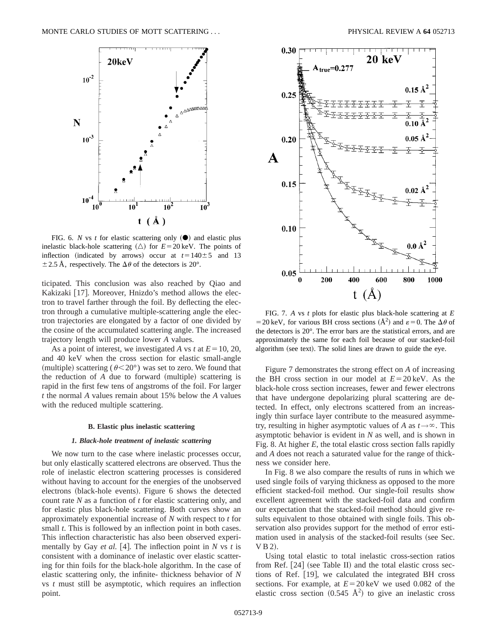

FIG. 6. *N* vs *t* for elastic scattering only  $(\bullet)$  and elastic plus inelastic black-hole scattering  $(\triangle)$  for  $E=20 \text{ keV}$ . The points of inflection (indicated by arrows) occur at  $t=140±5$  and 13  $\pm$  2.5 Å, respectively. The  $\Delta\theta$  of the detectors is 20°.

ticipated. This conclusion was also reached by Qiao and Kakizaki [17]. Moreover, Hnizdo's method allows the electron to travel farther through the foil. By deflecting the electron through a cumulative multiple-scattering angle the electron trajectories are elongated by a factor of one divided by the cosine of the accumulated scattering angle. The increased trajectory length will produce lower *A* values.

As a point of interest, we investigated A vs  $t$  at  $E = 10, 20$ , and 40 keV when the cross section for elastic small-angle (multiple) scattering ( $\theta$ <20°) was set to zero. We found that the reduction of *A* due to forward (multiple) scattering is rapid in the first few tens of angstroms of the foil. For larger *t* the normal *A* values remain about 15% below the *A* values with the reduced multiple scattering.

#### **B. Elastic plus inelastic scattering**

#### *1. Black-hole treatment of inelastic scattering*

We now turn to the case where inelastic processes occur, but only elastically scattered electrons are observed. Thus the role of inelastic electron scattering processes is considered without having to account for the energies of the unobserved electrons (black-hole events). Figure 6 shows the detected count rate *N* as a function of *t* for elastic scattering only, and for elastic plus black-hole scattering. Both curves show an approximately exponential increase of *N* with respect to *t* for small *t*. This is followed by an inflection point in both cases. This inflection characteristic has also been observed experimentally by Gay *et al.* [4]. The inflection point in *N* vs *t* is consistent with a dominance of inelastic over elastic scattering for thin foils for the black-hole algorithm. In the case of elastic scattering only, the infinite- thickness behavior of *N* vs *t* must still be asymptotic, which requires an inflection point.



FIG. 7. *A* vs *t* plots for elastic plus black-hole scattering at *E* = 20 keV, for various BH cross sections ( $\AA^2$ ) and  $\varepsilon = 0$ . The  $\Delta\theta$  of the detectors is 20°. The error bars are the statistical errors, and are approximately the same for each foil because of our stacked-foil algorithm (see text). The solid lines are drawn to guide the eye.

Figure 7 demonstrates the strong effect on *A* of increasing the BH cross section in our model at  $E=20 \text{ keV}$ . As the black-hole cross section increases, fewer and fewer electrons that have undergone depolarizing plural scattering are detected. In effect, only electrons scattered from an increasingly thin surface layer contribute to the measured asymmetry, resulting in higher asymptotic values of *A* as  $t \rightarrow \infty$ . This asymptotic behavior is evident in *N* as well, and is shown in Fig. 8. At higher *E*, the total elastic cross section falls rapidly and *A* does not reach a saturated value for the range of thickness we consider here.

In Fig. 8 we also compare the results of runs in which we used single foils of varying thickness as opposed to the more efficient stacked-foil method. Our single-foil results show excellent agreement with the stacked-foil data and confirm our expectation that the stacked-foil method should give results equivalent to those obtained with single foils. This observation also provides support for the method of error estimation used in analysis of the stacked-foil results (see Sec.  $V$  B 2).

Using total elastic to total inelastic cross-section ratios from Ref.  $[24]$  (see Table II) and the total elastic cross sections of Ref.  $[19]$ , we calculated the integrated BH cross sections. For example, at  $E = 20 \,\text{keV}$  we used 0.082 of the elastic cross section  $(0.545 \text{ Å}^2)$  to give an inelastic cross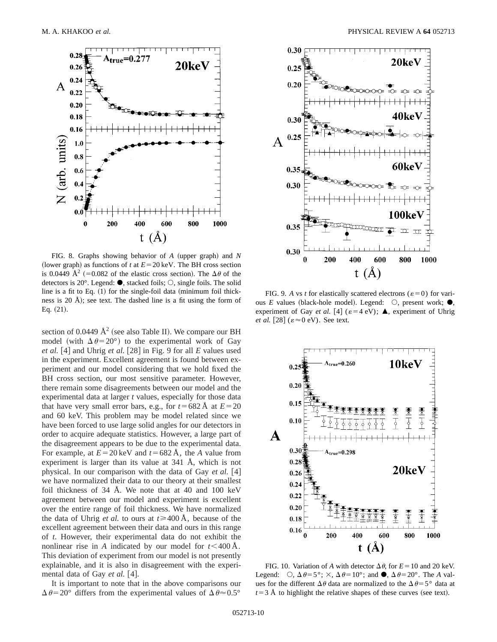

FIG. 8. Graphs showing behavior of *A* (upper graph) and *N* (lower graph) as functions of *t* at  $E = 20 \text{ keV}$ . The BH cross section is 0.0449 Å<sup>2</sup> (=0.082 of the elastic cross section). The  $\Delta\theta$  of the detectors is 20 $^{\circ}$ . Legend:  $\bullet$ , stacked foils;  $\circ$ , single foils. The solid line is a fit to Eq.  $(1)$  for the single-foil data (minimum foil thickness is  $20$  Å); see text. The dashed line is a fit using the form of Eq.  $(21)$ .

section of 0.0449  $\AA^2$  (see also Table II). We compare our BH model (with  $\Delta \theta = 20^{\circ}$ ) to the experimental work of Gay *et al.* [4] and Uhrig *et al.* [28] in Fig. 9 for all *E* values used in the experiment. Excellent agreement is found between experiment and our model considering that we hold fixed the BH cross section, our most sensitive parameter. However, there remain some disagreements between our model and the experimental data at larger *t* values, especially for those data that have very small error bars, e.g., for  $t=682 \text{ Å}$  at  $E=20$ and 60 keV. This problem may be model related since we have been forced to use large solid angles for our detectors in order to acquire adequate statistics. However, a large part of the disagreement appears to be due to the experimental data. For example, at  $E = 20 \,\text{keV}$  and  $t = 682 \,\text{\AA}$ , the *A* value from experiment is larger than its value at 341 Å, which is not physical. In our comparison with the data of Gay *et al.* [4] we have normalized their data to our theory at their smallest foil thickness of 34 Å. We note that at 40 and 100 keV agreement between our model and experiment is excellent over the entire range of foil thickness. We have normalized the data of Uhrig *et al.* to ours at  $t \ge 400 \text{ Å}$ , because of the excellent agreement between their data and ours in this range of *t*. However, their experimental data do not exhibit the nonlinear rise in *A* indicated by our model for  $t \leq 400 \text{ Å}.$ This deviation of experiment from our model is not presently explainable, and it is also in disagreement with the experimental data of Gay et al. [4].

It is important to note that in the above comparisons our  $\Delta \theta$  = 20° differs from the experimental values of  $\Delta \theta \approx 0.5$ °



FIG. 9. A vs *t* for elastically scattered electrons ( $\varepsilon = 0$ ) for various  $E$  values (black-hole model). Legend:  $\bigcirc$ , present work;  $\bullet$ , experiment of Gay *et al.* [4]  $(\varepsilon = 4 \text{ eV})$ ; **A**, experiment of Uhrig *et al.* [28]  $(\varepsilon \approx 0 \text{ eV})$ . See text.



FIG. 10. Variation of *A* with detector  $\Delta \theta$ , for  $E = 10$  and 20 keV. Legend:  $\bigcirc$ ,  $\Delta \theta = 5^{\circ}$ ;  $\times$ ,  $\Delta \theta = 10^{\circ}$ ; and  $\bullet$ ,  $\Delta \theta = 20^{\circ}$ . The *A* values for the different  $\Delta\theta$  data are normalized to the  $\Delta\theta=5^{\circ}$  data at  $t=3$  Å to highlight the relative shapes of these curves (see text).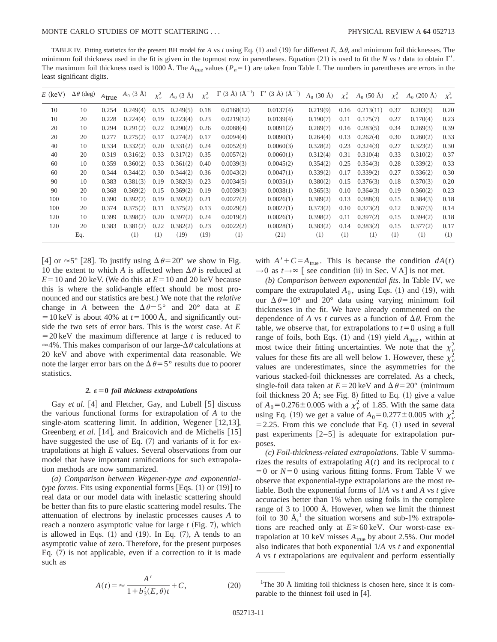TABLE IV. Fitting statistics for the present BH model for *A* vs *t* using Eq. (1) and (19) for different  $E$ ,  $\Delta\theta$ , and minimum foil thicknesses. The minimum foil thickness used in the fit is given in the topmost row in parentheses. Equation  $(21)$  is used to fit the *N* vs *t* data to obtain  $\Gamma'$ . The maximum foil thickness used is 1000 Å. The  $A_{true}$  values ( $P_n=1$ ) are taken from Table I. The numbers in parentheses are errors in the least significant digits.

| $E$ (keV) | $\Delta\theta$ (deg) | $A$ true | $A_0$ (3 Å) | $\chi^2_{\nu}$ | $A_0$ (3 Å) | $\chi^2_{\nu}$ |            | $\Gamma$ (3 Å) (Å <sup>-1</sup> ) $\Gamma'$ (3 Å) (Å <sup>-1</sup> ) | $A_0$ (30 Å) | $\chi^2_{\nu}$ | $A_0$ (50 Å) | $\chi^2_{\nu}$ | $A_0$ (200 Å) | $\chi^2_{\nu}$ |
|-----------|----------------------|----------|-------------|----------------|-------------|----------------|------------|----------------------------------------------------------------------|--------------|----------------|--------------|----------------|---------------|----------------|
| 10        | 10                   | 0.254    | 0.249(4)    | 0.15           | 0.249(5)    | 0.18           | 0.0168(12) | 0.0137(4)                                                            | 0.219(9)     | 0.16           | 0.213(11)    | 0.37           | 0.203(5)      | 0.20           |
| 10        | 20                   | 0.228    | 0.224(4)    | 0.19           | 0.223(4)    | 0.23           | 0.0219(12) | 0.0139(4)                                                            | 0.190(7)     | 0.11           | 0.175(7)     | 0.27           | 0.170(4)      | 0.23           |
| 20        | 10                   | 0.294    | 0.291(2)    | 0.22           | 0.290(2)    | 0.26           | 0.0088(4)  | 0.0091(2)                                                            | 0.289(7)     | 0.16           | 0.283(5)     | 0.34           | 0.269(3)      | 0.39           |
| 20        | 20                   | 0.277    | 0.275(2)    | 0.17           | 0.274(2)    | 0.17           | 0.0094(4)  | 0.0090(1)                                                            | 0.264(4)     | 0.13           | 0.262(4)     | 0.30           | 0.260(2)      | 0.33           |
| 40        | 10                   | 0.334    | 0.332(2)    | 0.20           | 0.331(2)    | 0.24           | 0.0052(3)  | 0.0060(3)                                                            | 0.328(2)     | 0.23           | 0.324(3)     | 0.27           | 0.323(2)      | 0.30           |
| 40        | 20                   | 0.319    | 0.316(2)    | 0.33           | 0.317(2)    | 0.35           | 0.0057(2)  | 0.0060(1)                                                            | 0.312(4)     | 0.31           | 0.310(4)     | 0.33           | 0.310(2)      | 0.37           |
| 60        | 10                   | 0.359    | 0.360(2)    | 0.33           | 0.361(2)    | 0.40           | 0.0039(3)  | 0.0045(2)                                                            | 0.354(2)     | 0.25           | 0.354(3)     | 0.28           | 0.339(2)      | 0.33           |
| 60        | 20                   | 0.344    | 0.344(2)    | 0.30           | 0.344(2)    | 0.36           | 0.0043(2)  | 0.0047(1)                                                            | 0.339(2)     | 0.17           | 0.339(2)     | 0.27           | 0.336(2)      | 0.30           |
| 90        | 10                   | 0.383    | 0.381(3)    | 0.19           | 0.382(3)    | 0.23           | 0.0034(5)  | 0.0035(1)                                                            | 0.380(2)     | 0.15           | 0.376(3)     | 0.18           | 0.370(3)      | 0.20           |
| 90        | 20                   | 0.368    | 0.369(2)    | 0.15           | 0.369(2)    | 0.19           | 0.0039(3)  | 0.0038(1)                                                            | 0.365(3)     | 0.10           | 0.364(3)     | 0.19           | 0.360(2)      | 0.23           |
| 100       | 10                   | 0.390    | 0.392(2)    | 0.19           | 0.392(2)    | 0.21           | 0.0027(2)  | 0.0026(1)                                                            | 0.389(2)     | 0.13           | 0.388(3)     | 0.15           | 0.384(3)      | 0.18           |
| 100       | 20                   | 0.374    | 0.375(2)    | 0.11           | 0.375(2)    | 0.13           | 0.0029(2)  | 0.0027(1)                                                            | 0.373(2)     | 0.10           | 0.373(2)     | 0.12           | 0.367(3)      | 0.14           |
| 120       | 10                   | 0.399    | 0.398(2)    | 0.20           | 0.397(2)    | 0.24           | 0.0019(2)  | 0.0026(1)                                                            | 0.398(2)     | 0.11           | 0.397(2)     | 0.15           | 0.394(2)      | 0.18           |
| 120       | 20                   | 0.383    | 0.381(2)    | 0.22           | 0.382(2)    | 0.23           | 0.0022(2)  | 0.0028(1)                                                            | 0.383(2)     | 0.14           | 0.383(2)     | 0.15           | 0.377(2)      | 0.17           |
|           | Eq.                  |          | (1)         | (1)            | (19)        | (19)           | (1)        | (21)                                                                 | (1)          | (1)            | (1)          | (1)            | (1)           | (1)            |
|           |                      |          |             |                |             |                |            |                                                                      |              |                |              |                |               |                |

[4] or  $\approx$  5° [28]. To justify using  $\Delta \theta$  = 20° we show in Fig. 10 the extent to which *A* is affected when  $\Delta\theta$  is reduced at  $E=10$  and 20 keV. (We do this at  $E=10$  and 20 keV because this is where the solid-angle effect should be most pronounced and our statistics are best.) We note that the *relative* change in *A* between the  $\Delta \theta = 5^{\circ}$  and 20° data at *E*  $=10 \text{ keV}$  is about 40% at  $t=1000 \text{ Å}$ , and significantly outside the two sets of error bars. This is the worst case. At *E*  $=20 \text{ keV}$  the maximum difference at large *t* is reduced to  $\approx$  4%. This makes comparison of our large- $\Delta\theta$  calculations at 20 keV and above with experimental data reasonable. We note the larger error bars on the  $\Delta\theta$  = 5° results due to poorer statistics.

# 2.  $\varepsilon = 0$  *foil thickness extrapolations*

Gay *et al.* [4] and Fletcher, Gay, and Lubell [5] discuss the various functional forms for extrapolation of *A* to the single-atom scattering limit. In addition, Wegener  $[12,13]$ , Greenberg *et al.* [14], and Braicovich and de Michelis [15] have suggested the use of Eq.  $(7)$  and variants of it for extrapolations at high *E* values. Several observations from our model that have important ramifications for such extrapolation methods are now summarized.

*(a) Comparison between Wegener-type and exponentialtype forms*. Fits using exponential forms  $[Eqs. (1)$  or  $(19)]$  to real data or our model data with inelastic scattering should be better than fits to pure elastic scattering model results. The attenuation of electrons by inelastic processes causes *A* to reach a nonzero asymptotic value for large  $t$  (Fig. 7), which is allowed in Eqs.  $(1)$  and  $(19)$ . In Eq.  $(7)$ , A tends to an asymptotic value of zero. Therefore, for the present purposes Eq.  $(7)$  is not applicable, even if a correction to it is made such as

$$
A(t) = \approx \frac{A'}{1 + b'_3(E, \theta)t} + C,
$$
 (20)

with  $A' + C = A_{true}$ . This is because the condition  $dA(t)$  $\rightarrow$  0 as  $t \rightarrow \infty$  [ see condition (ii) in Sec. V A] is not met.

*(b) Comparison between exponential fits*. In Table IV, we compare the extrapolated  $A_0$ , using Eqs. (1) and (19), with our  $\Delta \theta = 10^{\circ}$  and  $20^{\circ}$  data using varying minimum foil thicknesses in the fit. We have already commented on the dependence of A vs t curves as a function of  $\Delta\theta$ . From the table, we observe that, for extrapolations to  $t=0$  using a full range of foils, both Eqs.  $(1)$  and  $(19)$  yield  $A_{true}$ , within at most twice their fitting uncertainties. We note that the  $\chi^2_{\nu}$ values for these fits are all well below 1. However, these  $\chi^2_{\nu}$ values are underestimates, since the asymmetries for the various stacked-foil thicknesses are correlated. As a check, single-foil data taken at  $E = 20 \text{ keV}$  and  $\Delta \theta = 20^{\circ}$  (minimum foil thickness 20 Å; see Fig. 8) fitted to Eq.  $(1)$  give a value of  $A_0 = 0.276 \pm 0.005$  with a  $\chi^2_{\nu}$  of 1.85. With the same data using Eq. (19) we get a value of  $A_0 = 0.277 \pm 0.005$  with  $\chi^2_{\nu}$  $=2.25$ . From this we conclude that Eq.  $(1)$  used in several past experiments  $[2-5]$  is adequate for extrapolation purposes.

*(c) Foil-thickness-related extrapolations*. Table V summarizes the results of extrapolating  $A(t)$  and its reciprocal to  $t$  $=0$  or  $N=0$  using various fitting forms. From Table V we observe that exponential-type extrapolations are the most reliable. Both the exponential forms of 1/*A* vs *t* and *A* vs *t* give accuracies better than 1% when using foils in the complete range of 3 to 1000 Å. However, when we limit the thinnest foil to 30  $\AA$ ,<sup>1</sup> the situation worsens and sub-1% extrapolations are reached only at *E*≥60 keV. Our worst-case extrapolation at 10 keV misses  $A_{true}$  by about 2.5%. Our model also indicates that both exponential 1/*A* vs *t* and exponential *A* vs *t* extrapolations are equivalent and perform essentially

<sup>&</sup>lt;sup>1</sup>The 30 Å limiting foil thickness is chosen here, since it is comparable to the thinnest foil used in  $[4]$ .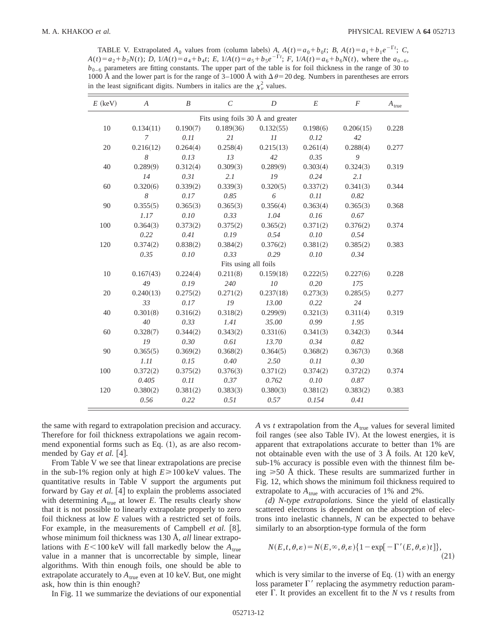TABLE V. Extrapolated  $A_0$  values from (column labels)  $A_1 A(t) = a_0 + b_0 t$ ;  $B_2 A(t) = a_1 + b_1 e^{-\Gamma t}$ ;  $C_2 A_1(t) = a_1 + b_1 e^{-\Gamma t}$  $A(t) = a_2 + b_2 N(t)$ ; D,  $1/A(t) = a_4 + b_4 t$ ; E,  $1/A(t) = a_5 + b_5 e^{-\Gamma t}$ ; F,  $1/A(t) = a_6 + b_6 N(t)$ , where the  $a_{0-6}$ ,  $b_{0-6}$  parameters are fitting constants. The upper part of the table is for foil thickness in the range of 30 to 1000 Å and the lower part is for the range of  $3-1000 \text{ Å}$  with  $\Delta \theta = 20 \text{ deg}$ . Numbers in parentheses are errors in the least significant digits. Numbers in italics are the  $\chi^2_{\nu}$  values.

| $E$ (keV) | $\boldsymbol{A}$ | $\boldsymbol{B}$ | $\mathcal{C}_{0}^{(n)}$ | D                                 | E        | F         | $A_{true}$ |
|-----------|------------------|------------------|-------------------------|-----------------------------------|----------|-----------|------------|
|           |                  |                  |                         | Fits using foils 30 Å and greater |          |           |            |
| 10        | 0.134(11)        | 0.190(7)         | 0.189(36)               | 0.132(55)                         | 0.198(6) | 0.206(15) | 0.228      |
|           | $\overline{7}$   | 0.11             | 21                      | 11                                | 0.12     | 42        |            |
| 20        | 0.216(12)        | 0.264(4)         | 0.258(4)                | 0.215(13)                         | 0.261(4) | 0.288(4)  | 0.277      |
|           | 8                | 0.13             | 13                      | 42                                | 0.35     | 9         |            |
| 40        | 0.289(9)         | 0.312(4)         | 0.309(3)                | 0.289(9)                          | 0.303(4) | 0.324(3)  | 0.319      |
|           | 14               | 0.31             | 2.1                     | 19                                | 0.24     | 2.1       |            |
| 60        | 0.320(6)         | 0.339(2)         | 0.339(3)                | 0.320(5)                          | 0.337(2) | 0.341(3)  | 0.344      |
|           | 8                | 0.17             | 0.85                    | 6                                 | 0.11     | 0.82      |            |
| 90        | 0.355(5)         | 0.365(3)         | 0.365(3)                | 0.356(4)                          | 0.363(4) | 0.365(3)  | 0.368      |
|           | 1.17             | 0.10             | 0.33                    | 1.04                              | 0.16     | 0.67      |            |
| 100       | 0.364(3)         | 0.373(2)         | 0.375(2)                | 0.365(2)                          | 0.371(2) | 0.376(2)  | 0.374      |
|           | 0.22             | 0.41             | 0.19                    | 0.54                              | 0.10     | 0.54      |            |
| 120       | 0.374(2)         | 0.838(2)         | 0.384(2)                | 0.376(2)                          | 0.381(2) | 0.385(2)  | 0.383      |
|           | 0.35             | 0.10             | 0.33                    | 0.29                              | 0.10     | 0.34      |            |
|           |                  |                  | Fits using all foils    |                                   |          |           |            |
| 10        | 0.167(43)        | 0.224(4)         | 0.211(8)                | 0.159(18)                         | 0.222(5) | 0.227(6)  | 0.228      |
|           | 49               | 0.19             | 240                     | 10                                | 0.20     | 175       |            |
| 20        | 0.240(13)        | 0.275(2)         | 0.271(2)                | 0.237(18)                         | 0.273(3) | 0.285(5)  | 0.277      |
|           | 33               | 0.17             | 19                      | 13.00                             | 0.22     | 24        |            |
| 40        | 0.301(8)         | 0.316(2)         | 0.318(2)                | 0.299(9)                          | 0.321(3) | 0.311(4)  | 0.319      |
|           | 40               | 0.33             | 1.41                    | 35.00                             | 0.99     | 1.95      |            |
| 60        | 0.328(7)         | 0.344(2)         | 0.343(2)                | 0.331(6)                          | 0.341(3) | 0.342(3)  | 0.344      |
|           | 19               | 0.30             | 0.61                    | 13.70                             | 0.34     | 0.82      |            |
| 90        | 0.365(5)         | 0.369(2)         | 0.368(2)                | 0.364(5)                          | 0.368(2) | 0.367(3)  | 0.368      |
|           | 1.11             | 0.15             | 0.40                    | 2.50                              | 0.11     | 0.30      |            |
| 100       | 0.372(2)         | 0.375(2)         | 0.376(3)                | 0.371(2)                          | 0.374(2) | 0.372(2)  | 0.374      |
|           | 0.405            | 0.11             | 0.37                    | 0.762                             | 0.10     | 0.87      |            |
| 120       | 0.380(2)         | 0.381(2)         | 0.383(3)                | 0.380(3)                          | 0.381(2) | 0.383(2)  | 0.383      |
|           | 0.56             | 0.22             | 0.51                    | 0.57                              | 0.154    | 0.41      |            |

the same with regard to extrapolation precision and accuracy. Therefore for foil thickness extrapolations we again recommend exponential forms such as Eq.  $(1)$ , as are also recommended by Gay *et al.* [4].

From Table V we see that linear extrapolations are precise in the sub-1% region only at high  $E \ge 100 \,\text{keV}$  values. The quantitative results in Table V support the arguments put forward by Gay *et al.* [4] to explain the problems associated with determining  $A_{true}$  at lower  $E$ . The results clearly show that it is not possible to linearly extrapolate properly to zero foil thickness at low *E* values with a restricted set of foils. For example, in the measurements of Campbell *et al.* [8], whose minimum foil thickness was 130 Å, *all* linear extrapolations with  $E$ <100 keV will fall markedly below the  $A_{true}$ value in a manner that is uncorrectable by simple, linear algorithms. With thin enough foils, one should be able to extrapolate accurately to  $A_{true}$  even at 10 keV. But, one might ask, how thin is thin enough?

In Fig. 11 we summarize the deviations of our exponential

*A* vs *t* extrapolation from the  $A_{true}$  values for several limited foil ranges (see also Table IV). At the lowest energies, it is apparent that extrapolations accurate to better than 1% are not obtainable even with the use of 3 Å foils. At 120 keV, sub-1% accuracy is possible even with the thinnest film being  $\geq 50$  Å thick. These results are summarized further in Fig. 12, which shows the minimum foil thickness required to extrapolate to  $A_{true}$  with accuracies of 1% and 2%.

*(d) N-type extrapolations*. Since the yield of elastically scattered electrons is dependent on the absorption of electrons into inelastic channels, *N* can be expected to behave similarly to an absorption-type formula of the form

$$
N(E, t, \theta, \varepsilon) = N(E, \infty, \theta, \varepsilon) \{ 1 - \exp[-\Gamma'(E, \theta, \varepsilon)t] \},\tag{21}
$$

which is very similar to the inverse of Eq.  $(1)$  with an energy loss parameter  $\Gamma'$  replacing the asymmetry reduction parameter  $\Gamma$ . It provides an excellent fit to the *N* vs *t* results from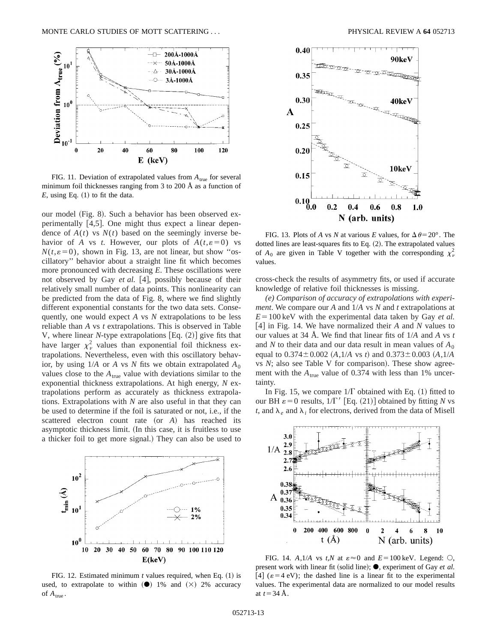

FIG. 11. Deviation of extrapolated values from  $A_{true}$  for several minimum foil thicknesses ranging from 3 to 200 Å as a function of  $E$ , using Eq.  $(1)$  to fit the data.

our model (Fig. 8). Such a behavior has been observed experimentally  $[4,5]$ . One might thus expect a linear dependence of  $A(t)$  vs  $N(t)$  based on the seemingly inverse behavior of *A* vs *t*. However, our plots of  $A(t, \varepsilon = 0)$  vs  $N(t, \varepsilon = 0)$ , shown in Fig. 13, are not linear, but show "oscillatory'' behavior about a straight line fit which becomes more pronounced with decreasing *E*. These oscillations were not observed by Gay *et al.* [4], possibly because of their relatively small number of data points. This nonlinearity can be predicted from the data of Fig. 8, where we find slightly different exponential constants for the two data sets. Consequently, one would expect *A* vs *N* extrapolations to be less reliable than *A* vs *t* extrapolations. This is observed in Table V, where linear  $N$ -type extrapolations  $[Eq. (2)]$  give fits that have larger  $\chi^2_{\nu}$  values than exponential foil thickness extrapolations. Nevertheless, even with this oscillatory behavior, by using  $1/A$  or *A* vs *N* fits we obtain extrapolated  $A_0$ values close to the  $A_{true}$  value with deviations similar to the exponential thickness extrapolations. At high energy, *N* extrapolations perform as accurately as thickness extrapolations. Extrapolations with *N* are also useful in that they can be used to determine if the foil is saturated or not, i.e., if the scattered electron count rate (or *A*) has reached its asymptotic thickness limit. (In this case, it is fruitless to use a thicker foil to get more signal.) They can also be used to



FIG. 12. Estimated minimum  $t$  values required, when Eq.  $(1)$  is used, to extrapolate to within  $(\bullet)$  1% and  $(\times)$  2% accuracy of *A*true .



FIG. 13. Plots of *A* vs *N* at various *E* values, for  $\Delta \theta = 20^{\circ}$ . The dotted lines are least-squares fits to Eq.  $(2)$ . The extrapolated values of  $A_0$  are given in Table V together with the corresponding  $\chi^2_\nu$ values.

cross-check the results of asymmetry fits, or used if accurate knowledge of relative foil thicknesses is missing.

*(e) Comparison of accuracy of extrapolations with experiment*. We compare our *A* and 1/*A* vs *N* and *t* extrapolations at  $E = 100 \text{ keV}$  with the experimental data taken by Gay *et al.*  $[4]$  in Fig. 14. We have normalized their *A* and *N* values to our values at 34 Å. We find that linear fits of 1/*A* and *A* vs *t* and *N* to their data and our data result in mean values of  $A_0$ equal to  $0.374 \pm 0.002$  (*A*,1/*A* vs *t*) and  $0.373 \pm 0.003$  (*A*,1/*A* vs *N*; also see Table V for comparison). These show agreement with the  $A_{true}$  value of 0.374 with less than 1% uncertainty.

In Fig. 15, we compare  $1/\Gamma$  obtained with Eq. (1) fitted to our BH  $\varepsilon = 0$  results,  $1/\Gamma'$  [Eq. (21)] obtained by fitting *N* vs *t*, and  $\lambda_e$  and  $\lambda_i$  for electrons, derived from the data of Misell



FIG. 14. *A*,1/*A* vs *t*,*N* at  $\varepsilon \approx 0$  and  $E = 100$  keV. Legend:  $\bigcirc$ , present work with linear fit (solid line);  $\bullet$ , experiment of Gay *et al.* [4]  $(\varepsilon = 4 \text{ eV})$ ; the dashed line is a linear fit to the experimental values. The experimental data are normalized to our model results at  $t=34 \text{ Å}.$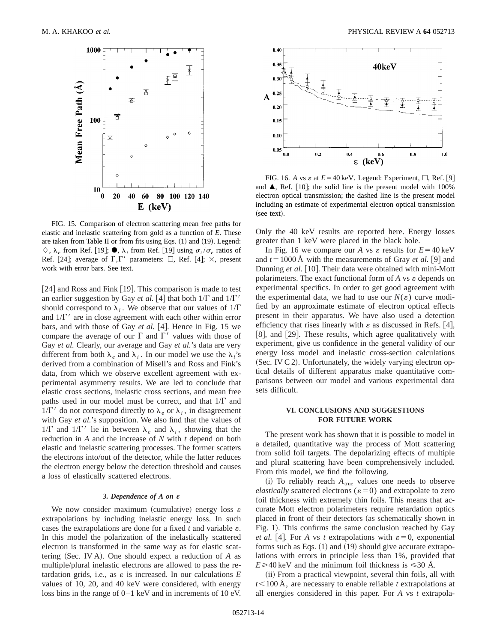

FIG. 15. Comparison of electron scattering mean free paths for elastic and inelastic scattering from gold as a function of *E*. These are taken from Table II or from fits using Eqs.  $(1)$  and  $(19)$ . Legend:  $\Diamond$ ,  $\lambda_e$  from Ref. [19];  $\bullet$ ,  $\lambda_i$  from Ref. [19] using  $\sigma_i/\sigma_e$  ratios of Ref. [24]; average of  $\Gamma,\Gamma'$  parameters:  $\Box$ , Ref. [4];  $\times$ , present work with error bars. See text.

 $[24]$  and Ross and Fink  $[19]$ . This comparison is made to test an earlier suggestion by Gay *et al.* [4] that both  $1/\Gamma$  and  $1/\Gamma'$ should correspond to  $\lambda_i$ . We observe that our values of  $1/\Gamma$ and  $1/\Gamma'$  are in close agreement with each other within error bars, and with those of Gay *et al.* [4]. Hence in Fig. 15 we compare the average of our  $\Gamma$  and  $\Gamma'$  values with those of Gay *et al.* Clearly, our average and Gay *et al.*'s data are very different from both  $\lambda_e$  and  $\lambda_i$ . In our model we use the  $\lambda_i$ 's derived from a combination of Misell's and Ross and Fink's data, from which we observe excellent agreement with experimental asymmetry results. We are led to conclude that elastic cross sections, inelastic cross sections, and mean free paths used in our model must be correct, and that  $1/\Gamma$  and  $1/\Gamma'$  do not correspond directly to  $\lambda_e$  or  $\lambda_i$ , in disagreement with Gay *et al.*'s supposition. We also find that the values of  $1/\Gamma$  and  $1/\Gamma'$  lie in between  $\lambda_e$  and  $\lambda_i$ , showing that the reduction in *A* and the increase of *N* with *t* depend on both elastic and inelastic scattering processes. The former scatters the electrons into/out of the detector, while the latter reduces the electron energy below the detection threshold and causes a loss of elastically scattered electrons.

#### **3.** Dependence of A on ε

We now consider maximum (cumulative) energy loss  $\varepsilon$ extrapolations by including inelastic energy loss. In such cases the extrapolations are done for a fixed  $t$  and variable  $\varepsilon$ . In this model the polarization of the inelastically scattered electron is transformed in the same way as for elastic scattering (Sec. IV A). One should expect a reduction of *A* as multiple/plural inelastic electrons are allowed to pass the retardation grids, i.e., as  $\varepsilon$  is increased. In our calculations  $E$ values of 10, 20, and 40 keV were considered, with energy loss bins in the range of 0–1 keV and in increments of 10 eV.



FIG. 16. *A* vs  $\varepsilon$  at  $E = 40$  keV. Legend: Experiment,  $\Box$ , Ref. [9] and  $\blacktriangle$ , Ref. [10]; the solid line is the present model with 100% electron optical transmission; the dashed line is the present model including an estimate of experimental electron optical transmission (see text).

Only the 40 keV results are reported here. Energy losses greater than 1 keV were placed in the black hole.

In Fig. 16 we compare our *A* vs  $\varepsilon$  results for  $E = 40 \text{ keV}$ and  $t=1000 \text{ Å}$  with the measurements of Gray *et al.* [9] and Dunning *et al.* [10]. Their data were obtained with mini-Mott polarimeters. The exact functional form of  $A$  vs  $\varepsilon$  depends on experimental specifics. In order to get good agreement with the experimental data, we had to use our  $N(\varepsilon)$  curve modified by an approximate estimate of electron optical effects present in their apparatus. We have also used a detection efficiency that rises linearly with  $\varepsilon$  as discussed in Refs. [4], [8], and [29]. These results, which agree qualitatively with experiment, give us confidence in the general validity of our energy loss model and inelastic cross-section calculations (Sec. IV C 2). Unfortunately, the widely varying electron optical details of different apparatus make quantitative comparisons between our model and various experimental data sets difficult.

# **VI. CONCLUSIONS AND SUGGESTIONS FOR FUTURE WORK**

The present work has shown that it is possible to model in a detailed, quantitative way the process of Mott scattering from solid foil targets. The depolarizing effects of multiple and plural scattering have been comprehensively included. From this model, we find the following.

(i) To reliably reach  $A_{true}$  values one needs to observe *elastically* scattered electrons ( $\varepsilon = 0$ ) and extrapolate to zero foil thickness with extremely thin foils. This means that accurate Mott electron polarimeters require retardation optics placed in front of their detectors (as schematically shown in Fig. 1). This confirms the same conclusion reached by Gay *et al.* [4]. For *A* vs *t* extrapolations with  $\varepsilon = 0$ , exponential forms such as Eqs.  $(1)$  and  $(19)$  should give accurate extrapolations with errors in principle less than 1%, provided that  $E \geq 40 \text{ keV}$  and the minimum foil thickness is  $\leq 30 \text{ Å}$ .

(ii) From a practical viewpoint, several thin foils, all with  $t \leq 100 \text{ Å}$ , are necessary to enable reliable *t* extrapolations at all energies considered in this paper. For *A* vs *t* extrapola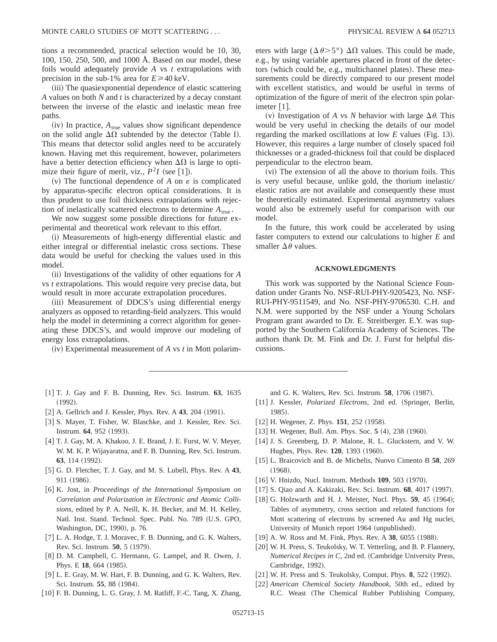tions a recommended, practical selection would be 10, 30, 100, 150, 250, 500, and 1000 Å. Based on our model, these foils would adequately provide *A* vs *t* extrapolations with precision in the sub-1% area for  $E \ge 40$  keV.

(iii) The quasiexponential dependence of elastic scattering *A* values on both *N* and *t* is characterized by a decay constant between the inverse of the elastic and inelastic mean free paths.

 $(iv)$  In practice,  $A_{true}$  values show significant dependence on the solid angle  $\Delta\Omega$  subtended by the detector (Table I). This means that detector solid angles need to be accurately known. Having met this requirement, however, polarimeters have a better detection efficiency when  $\Delta\Omega$  is large to optimize their figure of merit, viz.,  $P^2I$  (see [1]).

(v) The functional dependence of *A* on  $\varepsilon$  is complicated by apparatus-specific electron optical considerations. It is thus prudent to use foil thickness extrapolations with rejection of inelastically scattered electrons to determine  $A_{true}$ .

We now suggest some possible directions for future experimental and theoretical work relevant to this effort.

(i) Measurements of high-energy differential elastic and either integral or differential inelastic cross sections. These data would be useful for checking the values used in this model.

(ii) Investigations of the validity of other equations for *A* vs *t* extrapolations. This would require very precise data, but would result in more accurate extrapolation procedures.

(iii) Measurement of DDCS's using differential energy analyzers as opposed to retarding-field analyzers. This would help the model in determining a correct algorithm for generating these DDCS's, and would improve our modeling of energy loss extrapolations.

 $(iv)$  Experimental measurement of *A* vs *t* in Mott polarim-

eters with large ( $\Delta \theta$ >5°)  $\Delta \Omega$  values. This could be made, e.g., by using variable apertures placed in front of the detectors (which could be, e.g., multichannel plates). These measurements could be directly compared to our present model with excellent statistics, and would be useful in terms of optimization of the figure of merit of the electron spin polarimeter  $|1|$ .

(v) Investigation of *A* vs *N* behavior with large  $\Delta \theta$ . This would be very useful in checking the details of our model regarding the marked oscillations at low  $E$  values (Fig. 13). However, this requires a large number of closely spaced foil thicknesses or a graded-thickness foil that could be displaced perpendicular to the electron beam.

(vi) The extension of all the above to thorium foils. This is very useful because, unlike gold, the thorium inelastic/ elastic ratios are not available and consequently these must be theoretically estimated. Experimental asymmetry values would also be extremely useful for comparison with our model.

In the future, this work could be accelerated by using faster computers to extend our calculations to higher *E* and smaller  $\Delta\theta$  values.

#### **ACKNOWLEDGMENTS**

This work was supported by the National Science Foundation under Grants No. NSF-RUI-PHY-9205423, No. NSF-RUI-PHY-9511549, and No. NSF-PHY-9706530. C.H. and N.M. were supported by the NSF under a Young Scholars Program grant awarded to Dr. E. Streitberger. E.Y. was supported by the Southern California Academy of Sciences. The authors thank Dr. M. Fink and Dr. J. Furst for helpful discussions.

- @1# T. J. Gay and F. B. Dunning, Rev. Sci. Instrum. **63**, 1635  $(1992).$
- $[2]$  A. Gellrich and J. Kessler, Phys. Rev. A  $43$ ,  $204$   $(1991)$ .
- [3] S. Mayer, T. Fisher, W. Blaschke, and J. Kessler, Rev. Sci. Instrum. **64**, 952 (1993).
- [4] T. J. Gay, M. A. Khakoo, J. E. Brand, J. E. Furst, W. V. Meyer, W. M. K. P. Wijayaratna, and F. B. Dunning, Rev. Sci. Instrum. **63**, 114 (1992).
- @5# G. D. Fletcher, T. J. Gay, and M. S. Lubell, Phys. Rev. A **43**, 911 (1986).
- @6# K. Jost, in *Proceedings of the International Symposium on Correlation and Polarization in Electronic and Atomic Collisions*, edited by P. A. Neill, K. H. Becker, and M. H. Kelley, Natl. Inst. Stand. Technol. Spec. Publ. No. 789 (U.S. GPO, Washington, DC, 1990), p. 76.
- [7] L. A. Hodge, T. J. Moravec, F. B. Dunning, and G. K. Walters, Rev. Sci. Instrum. **50**, 5 (1979).
- [8] D. M. Campbell, C. Hermann, G. Lampel, and R. Owen, J. Phys. E 18, 664 (1985).
- [9] L. E. Gray, M. W. Hart, F. B. Dunning, and G. K. Walters, Rev. Sci. Instrum. **55**, 88 (1984).
- [10] F. B. Dunning, L. G. Gray, J. M. Ratliff, F.-C. Tang, X. Zhang,

and G. K. Walters, Rev. Sci. Instrum. 58, 1706 (1987).

- [11] J. Kessler, *Polarized Electrons*, 2nd ed. (Springer, Berlin, 1985!.
- $[12]$  H. Wegener, Z. Phys. **151**, 252  $(1958)$ .
- $[13]$  H. Wegener, Bull. Am. Phys. Soc.  $5(4)$ , 238  $(1960)$ .
- [14] J. S. Greenberg, D. P. Malone, R. L. Gluckstern, and V. W. Hughes, Phys. Rev. 120, 1393 (1960).
- [15] L. Braicovich and B. de Michelis, Nuovo Cimento B 58, 269  $(1968).$
- [16] V. Hnizdo, Nucl. Instrum. Methods **109**, 503 (1970).
- [17] S. Qiao and A. Kakizaki, Rev. Sci. Instrum. **68**, 4017 (1997).
- [18] G. Holzwarth and H. J. Meister, Nucl. Phys. **59**, 45 (1964); Tables of asymmetry, cross section and related functions for Mott scattering of electrons by screened Au and Hg nuclei, University of Munich report 1964 (unpublished).
- $[19]$  A. W. Ross and M. Fink, Phys. Rev. A 38, 6055  $(1988)$ .
- [20] W. H. Press, S. Teukolsky, W. T. Vetterling, and B. P. Flannery, *Numerical Recipes in C*, 2nd ed. (Cambridge University Press, Cambridge, 1992).
- [21] W. H. Press and S. Teukolsky, Comput. Phys. 8, 522 (1992).
- [22] American Chemical Society Handbook, 50th ed., edited by R.C. Weast (The Chemical Rubber Publishing Company,